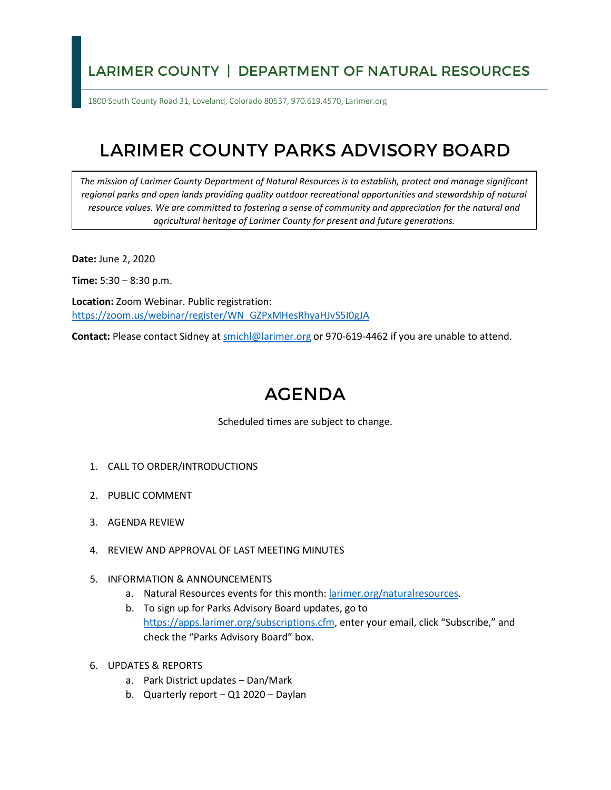## LARIMER COUNTY | DEPARTMENT OF NATURAL RESOURCES

1800 South County Road 31, Loveland, Colorado 80537, 970.619.4570, Larimer.org

## LARIMER COUNTY PARKS ADVISORY BOARD

*The mission of Larimer County Department of Natural Resources is to establish, protect and manage significant*  regional parks and open lands providing quality outdoor recreational opportunities and stewardship of natural *resource values. We are committed to fostering a sense of community and appreciation for the natural and agricultural heritage of Larimer County for present and future generations.*

**Date:** June 2, 2020

**Time:** 5:30 – 8:30 p.m.

**Location:** Zoom Webinar. Public registration: [https://zoom.us/webinar/register/WN\\_GZPxMHesRhyaHJvS5I0gJA](https://zoom.us/webinar/register/WN_GZPxMHesRhyaHJvS5I0gJA)

**Contact:** Please contact Sidney a[t smichl@larimer.org](mailto:smichl@larimer.org) or 970-619-4462 if you are unable to attend.

## AGENDA

Scheduled times are subject to change.

- 1. CALL TO ORDER/INTRODUCTIONS
- 2. PUBLIC COMMENT
- 3. AGENDA REVIEW
- 4. REVIEW AND APPROVAL OF LAST MEETING MINUTES
- 5. INFORMATION & ANNOUNCEMENTS
	- a. Natural Resources events for this month[: larimer.org/naturalresources.](http://www.larimer.org/naturalresources)
	- b. To sign up for Parks Advisory Board updates, go to [https://apps.larimer.org/subscriptions.cfm,](https://apps.larimer.org/subscriptions.cfm) enter your email, click "Subscribe," and check the "Parks Advisory Board" box.
- 6. UPDATES & REPORTS
	- a. Park District updates Dan/Mark
	- b. Quarterly report Q1 2020 Daylan